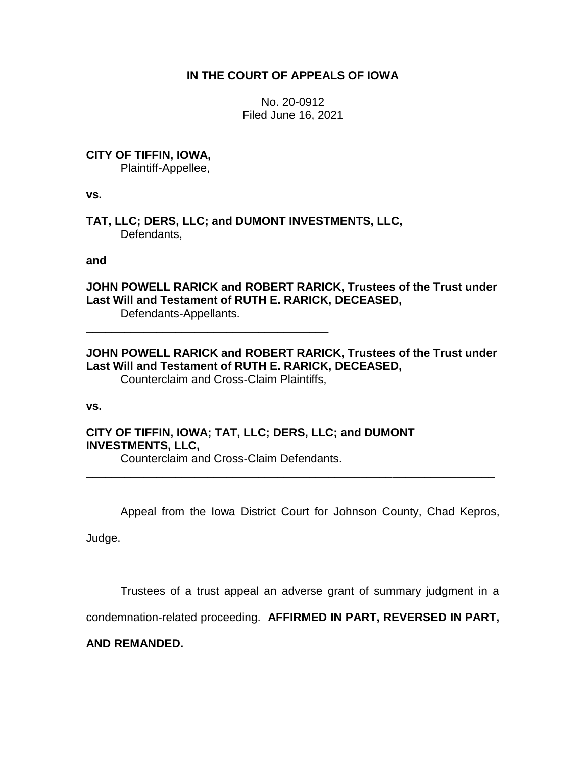## **IN THE COURT OF APPEALS OF IOWA**

No. 20-0912 Filed June 16, 2021

# **CITY OF TIFFIN, IOWA,**

Plaintiff-Appellee,

**vs.**

**TAT, LLC; DERS, LLC; and DUMONT INVESTMENTS, LLC,** Defendants,

**and**

**JOHN POWELL RARICK and ROBERT RARICK, Trustees of the Trust under Last Will and Testament of RUTH E. RARICK, DECEASED,** Defendants-Appellants.

**JOHN POWELL RARICK and ROBERT RARICK, Trustees of the Trust under Last Will and Testament of RUTH E. RARICK, DECEASED,** Counterclaim and Cross-Claim Plaintiffs,

\_\_\_\_\_\_\_\_\_\_\_\_\_\_\_\_\_\_\_\_\_\_\_\_\_\_\_\_\_\_\_\_\_\_\_\_\_\_\_\_\_\_\_\_\_\_\_\_\_\_\_\_\_\_\_\_\_\_\_\_\_\_\_\_

**vs.**

**CITY OF TIFFIN, IOWA; TAT, LLC; DERS, LLC; and DUMONT INVESTMENTS, LLC,**

Counterclaim and Cross-Claim Defendants.

\_\_\_\_\_\_\_\_\_\_\_\_\_\_\_\_\_\_\_\_\_\_\_\_\_\_\_\_\_\_\_\_\_\_\_\_\_\_

Appeal from the Iowa District Court for Johnson County, Chad Kepros,

Judge.

Trustees of a trust appeal an adverse grant of summary judgment in a

condemnation-related proceeding. **AFFIRMED IN PART, REVERSED IN PART,** 

## **AND REMANDED.**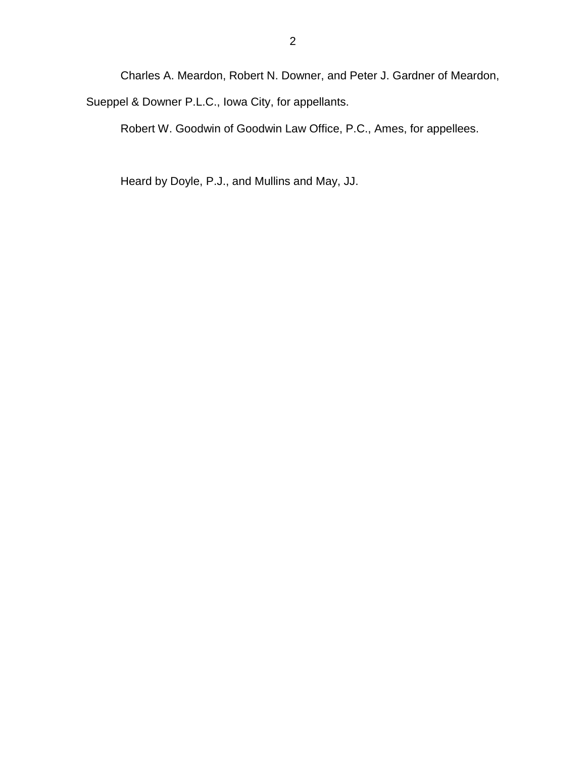Charles A. Meardon, Robert N. Downer, and Peter J. Gardner of Meardon,

Sueppel & Downer P.L.C., Iowa City, for appellants.

Robert W. Goodwin of Goodwin Law Office, P.C., Ames, for appellees.

Heard by Doyle, P.J., and Mullins and May, JJ.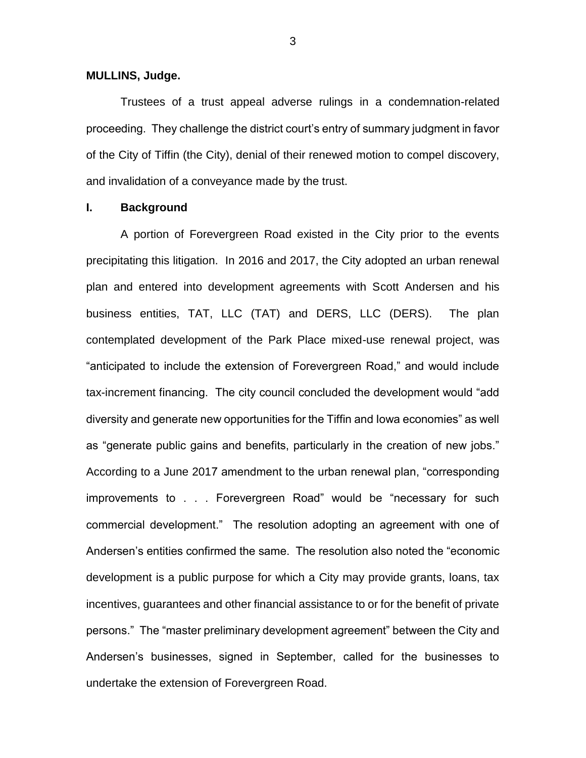#### **MULLINS, Judge.**

Trustees of a trust appeal adverse rulings in a condemnation-related proceeding. They challenge the district court's entry of summary judgment in favor of the City of Tiffin (the City), denial of their renewed motion to compel discovery, and invalidation of a conveyance made by the trust.

## **I. Background**

A portion of Forevergreen Road existed in the City prior to the events precipitating this litigation. In 2016 and 2017, the City adopted an urban renewal plan and entered into development agreements with Scott Andersen and his business entities, TAT, LLC (TAT) and DERS, LLC (DERS). The plan contemplated development of the Park Place mixed-use renewal project, was "anticipated to include the extension of Forevergreen Road," and would include tax-increment financing. The city council concluded the development would "add diversity and generate new opportunities for the Tiffin and Iowa economies" as well as "generate public gains and benefits, particularly in the creation of new jobs." According to a June 2017 amendment to the urban renewal plan, "corresponding improvements to . . . Forevergreen Road" would be "necessary for such commercial development." The resolution adopting an agreement with one of Andersen's entities confirmed the same. The resolution also noted the "economic development is a public purpose for which a City may provide grants, loans, tax incentives, guarantees and other financial assistance to or for the benefit of private persons." The "master preliminary development agreement" between the City and Andersen's businesses, signed in September, called for the businesses to undertake the extension of Forevergreen Road.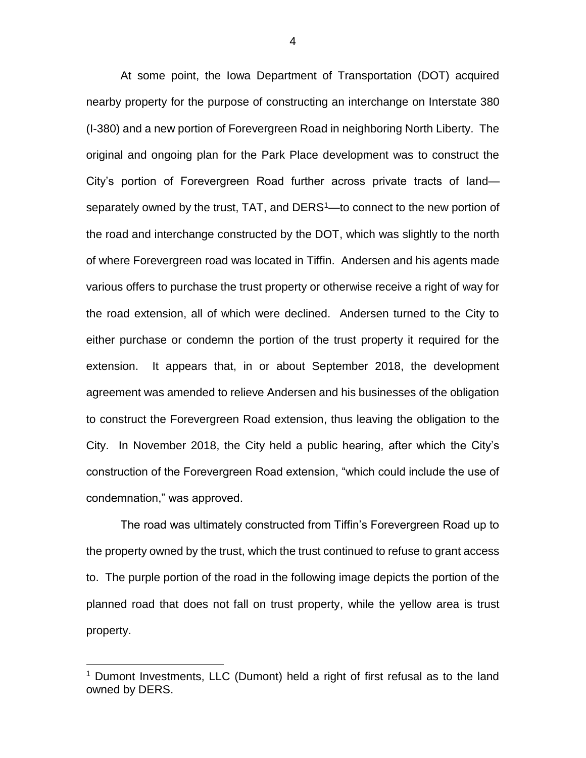At some point, the Iowa Department of Transportation (DOT) acquired nearby property for the purpose of constructing an interchange on Interstate 380 (I-380) and a new portion of Forevergreen Road in neighboring North Liberty. The original and ongoing plan for the Park Place development was to construct the City's portion of Forevergreen Road further across private tracts of land separately owned by the trust, TAT, and DERS<sup>1</sup>—to connect to the new portion of the road and interchange constructed by the DOT, which was slightly to the north of where Forevergreen road was located in Tiffin. Andersen and his agents made various offers to purchase the trust property or otherwise receive a right of way for the road extension, all of which were declined. Andersen turned to the City to either purchase or condemn the portion of the trust property it required for the extension. It appears that, in or about September 2018, the development agreement was amended to relieve Andersen and his businesses of the obligation to construct the Forevergreen Road extension, thus leaving the obligation to the City. In November 2018, the City held a public hearing, after which the City's construction of the Forevergreen Road extension, "which could include the use of condemnation," was approved.

The road was ultimately constructed from Tiffin's Forevergreen Road up to the property owned by the trust, which the trust continued to refuse to grant access to. The purple portion of the road in the following image depicts the portion of the planned road that does not fall on trust property, while the yellow area is trust property.

 $\overline{a}$ 

<sup>1</sup> Dumont Investments, LLC (Dumont) held a right of first refusal as to the land owned by DERS.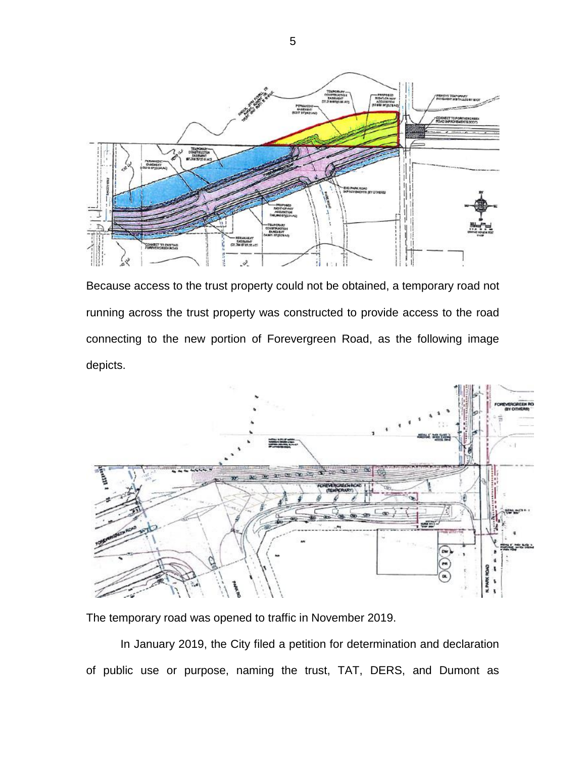

Because access to the trust property could not be obtained, a temporary road not running across the trust property was constructed to provide access to the road connecting to the new portion of Forevergreen Road, as the following image depicts.



The temporary road was opened to traffic in November 2019.

In January 2019, the City filed a petition for determination and declaration of public use or purpose, naming the trust, TAT, DERS, and Dumont as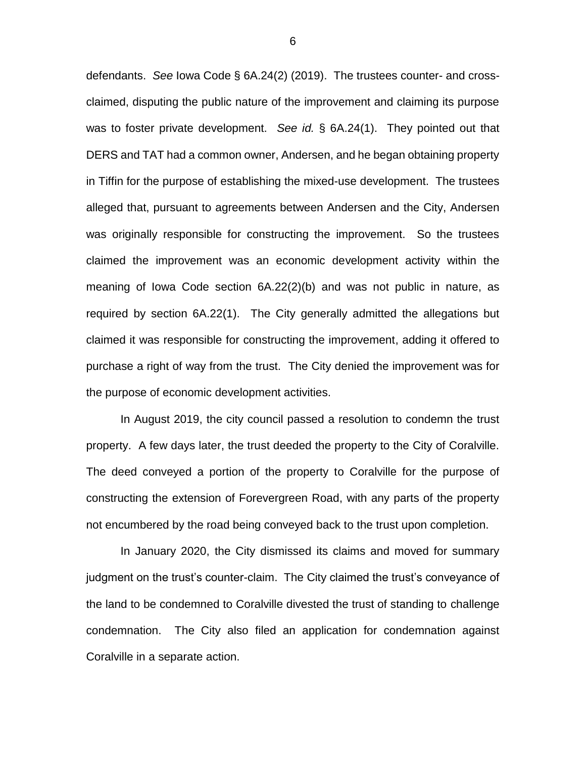defendants. *See* Iowa Code § 6A.24(2) (2019). The trustees counter- and crossclaimed, disputing the public nature of the improvement and claiming its purpose was to foster private development. *See id.* § 6A.24(1). They pointed out that DERS and TAT had a common owner, Andersen, and he began obtaining property in Tiffin for the purpose of establishing the mixed-use development. The trustees alleged that, pursuant to agreements between Andersen and the City, Andersen was originally responsible for constructing the improvement. So the trustees claimed the improvement was an economic development activity within the meaning of Iowa Code section 6A.22(2)(b) and was not public in nature, as required by section 6A.22(1). The City generally admitted the allegations but claimed it was responsible for constructing the improvement, adding it offered to purchase a right of way from the trust. The City denied the improvement was for the purpose of economic development activities.

In August 2019, the city council passed a resolution to condemn the trust property. A few days later, the trust deeded the property to the City of Coralville. The deed conveyed a portion of the property to Coralville for the purpose of constructing the extension of Forevergreen Road, with any parts of the property not encumbered by the road being conveyed back to the trust upon completion.

In January 2020, the City dismissed its claims and moved for summary judgment on the trust's counter-claim. The City claimed the trust's conveyance of the land to be condemned to Coralville divested the trust of standing to challenge condemnation. The City also filed an application for condemnation against Coralville in a separate action.

6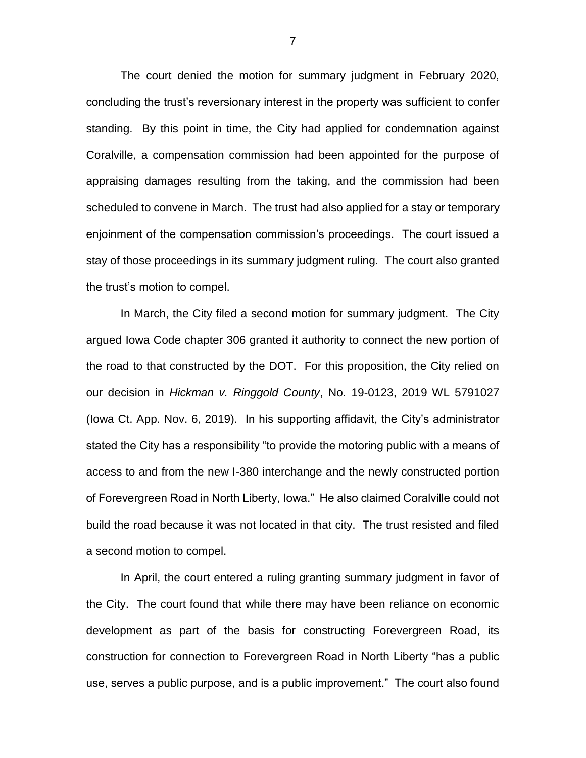The court denied the motion for summary judgment in February 2020, concluding the trust's reversionary interest in the property was sufficient to confer standing. By this point in time, the City had applied for condemnation against Coralville, a compensation commission had been appointed for the purpose of appraising damages resulting from the taking, and the commission had been scheduled to convene in March. The trust had also applied for a stay or temporary enjoinment of the compensation commission's proceedings. The court issued a stay of those proceedings in its summary judgment ruling. The court also granted the trust's motion to compel.

In March, the City filed a second motion for summary judgment. The City argued Iowa Code chapter 306 granted it authority to connect the new portion of the road to that constructed by the DOT. For this proposition, the City relied on our decision in *Hickman v. Ringgold County*, No. 19-0123, 2019 WL 5791027 (Iowa Ct. App. Nov. 6, 2019).In his supporting affidavit, the City's administrator stated the City has a responsibility "to provide the motoring public with a means of access to and from the new I-380 interchange and the newly constructed portion of Forevergreen Road in North Liberty, Iowa." He also claimed Coralville could not build the road because it was not located in that city. The trust resisted and filed a second motion to compel.

In April, the court entered a ruling granting summary judgment in favor of the City. The court found that while there may have been reliance on economic development as part of the basis for constructing Forevergreen Road, its construction for connection to Forevergreen Road in North Liberty "has a public use, serves a public purpose, and is a public improvement." The court also found

7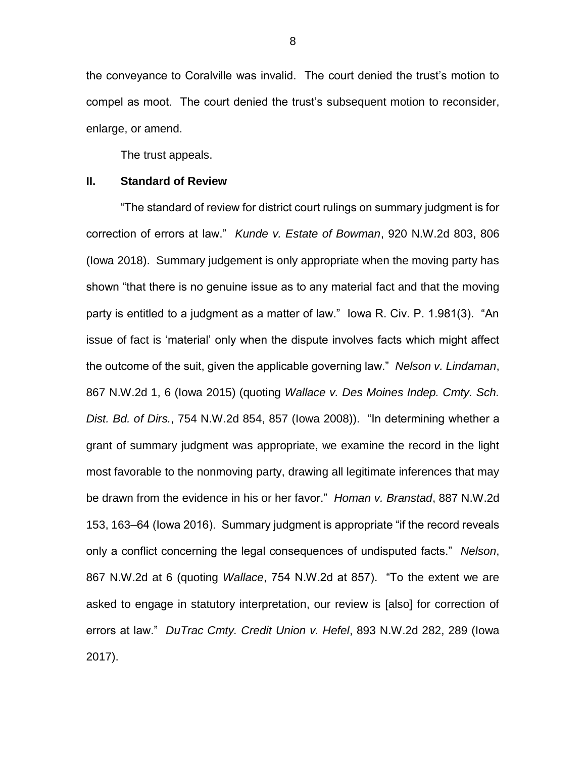the conveyance to Coralville was invalid. The court denied the trust's motion to compel as moot. The court denied the trust's subsequent motion to reconsider, enlarge, or amend.

The trust appeals.

### **II. Standard of Review**

"The standard of review for district court rulings on summary judgment is for correction of errors at law." *Kunde v. Estate of Bowman*, 920 N.W.2d 803, 806 (Iowa 2018). Summary judgement is only appropriate when the moving party has shown "that there is no genuine issue as to any material fact and that the moving party is entitled to a judgment as a matter of law." Iowa R. Civ. P. 1.981(3). "An issue of fact is 'material' only when the dispute involves facts which might affect the outcome of the suit, given the applicable governing law." *Nelson v. Lindaman*, 867 N.W.2d 1, 6 (Iowa 2015) (quoting *Wallace v. Des Moines Indep. Cmty. Sch. Dist. Bd. of Dirs.*, 754 N.W.2d 854, 857 (Iowa 2008))."In determining whether a grant of summary judgment was appropriate, we examine the record in the light most favorable to the nonmoving party, drawing all legitimate inferences that may be drawn from the evidence in his or her favor." *Homan v. Branstad*, 887 N.W.2d 153, 163–64 (Iowa 2016). Summary judgment is appropriate "if the record reveals only a conflict concerning the legal consequences of undisputed facts." *Nelson*, 867 N.W.2d at 6 (quoting *Wallace*, 754 N.W.2d at 857). "To the extent we are asked to engage in statutory interpretation, our review is [also] for correction of errors at law." *DuTrac Cmty. Credit Union v. Hefel*, 893 N.W.2d 282, 289 (Iowa 2017).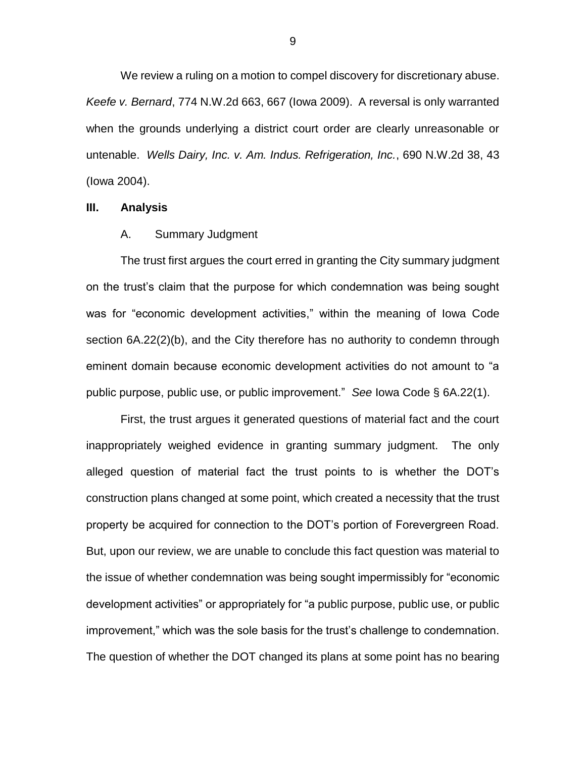We review a ruling on a motion to compel discovery for discretionary abuse. *Keefe v. Bernard*, 774 N.W.2d 663, 667 (Iowa 2009). A reversal is only warranted when the grounds underlying a district court order are clearly unreasonable or untenable. *Wells Dairy, Inc. v. Am. Indus. Refrigeration, Inc.*, 690 N.W.2d 38, 43 (Iowa 2004).

#### **III. Analysis**

#### A. Summary Judgment

The trust first argues the court erred in granting the City summary judgment on the trust's claim that the purpose for which condemnation was being sought was for "economic development activities," within the meaning of Iowa Code section 6A.22(2)(b), and the City therefore has no authority to condemn through eminent domain because economic development activities do not amount to "a public purpose, public use, or public improvement." *See* Iowa Code § 6A.22(1).

First, the trust argues it generated questions of material fact and the court inappropriately weighed evidence in granting summary judgment. The only alleged question of material fact the trust points to is whether the DOT's construction plans changed at some point, which created a necessity that the trust property be acquired for connection to the DOT's portion of Forevergreen Road. But, upon our review, we are unable to conclude this fact question was material to the issue of whether condemnation was being sought impermissibly for "economic development activities" or appropriately for "a public purpose, public use, or public improvement," which was the sole basis for the trust's challenge to condemnation. The question of whether the DOT changed its plans at some point has no bearing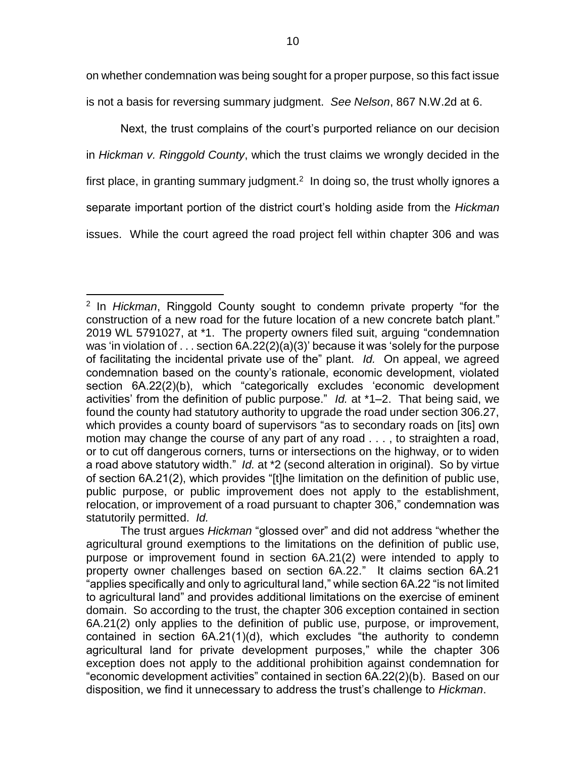on whether condemnation was being sought for a proper purpose, so this fact issue is not a basis for reversing summary judgment. *See Nelson*, 867 N.W.2d at 6.

Next, the trust complains of the court's purported reliance on our decision in *Hickman v. Ringgold County*, which the trust claims we wrongly decided in the first place, in granting summary judgment.<sup>2</sup> In doing so, the trust wholly ignores a separate important portion of the district court's holding aside from the *Hickman* issues. While the court agreed the road project fell within chapter 306 and was

 $\overline{a}$ 2 In *Hickman*, Ringgold County sought to condemn private property "for the construction of a new road for the future location of a new concrete batch plant." 2019 WL 5791027, at \*1. The property owners filed suit, arguing "condemnation was 'in violation of . . . section 6A.22(2)(a)(3)' because it was 'solely for the purpose of facilitating the incidental private use of the" plant. *Id.* On appeal, we agreed condemnation based on the county's rationale, economic development, violated section 6A.22(2)(b), which "categorically excludes 'economic development activities' from the definition of public purpose." *Id.* at \*1–2. That being said, we found the county had statutory authority to upgrade the road under section 306.27, which provides a county board of supervisors "as to secondary roads on [its] own motion may change the course of any part of any road . . . , to straighten a road, or to cut off dangerous corners, turns or intersections on the highway, or to widen a road above statutory width." *Id.* at \*2 (second alteration in original).So by virtue of section 6A.21(2), which provides "[t]he limitation on the definition of public use, public purpose, or public improvement does not apply to the establishment, relocation, or improvement of a road pursuant to chapter 306," condemnation was statutorily permitted. *Id.*

The trust argues *Hickman* "glossed over" and did not address "whether the agricultural ground exemptions to the limitations on the definition of public use, purpose or improvement found in section 6A.21(2) were intended to apply to property owner challenges based on section 6A.22." It claims section 6A.21 "applies specifically and only to agricultural land," while section 6A.22 "is not limited to agricultural land" and provides additional limitations on the exercise of eminent domain. So according to the trust, the chapter 306 exception contained in section 6A.21(2) only applies to the definition of public use, purpose, or improvement, contained in section 6A.21(1)(d), which excludes "the authority to condemn agricultural land for private development purposes," while the chapter 306 exception does not apply to the additional prohibition against condemnation for "economic development activities" contained in section 6A.22(2)(b). Based on our disposition, we find it unnecessary to address the trust's challenge to *Hickman*.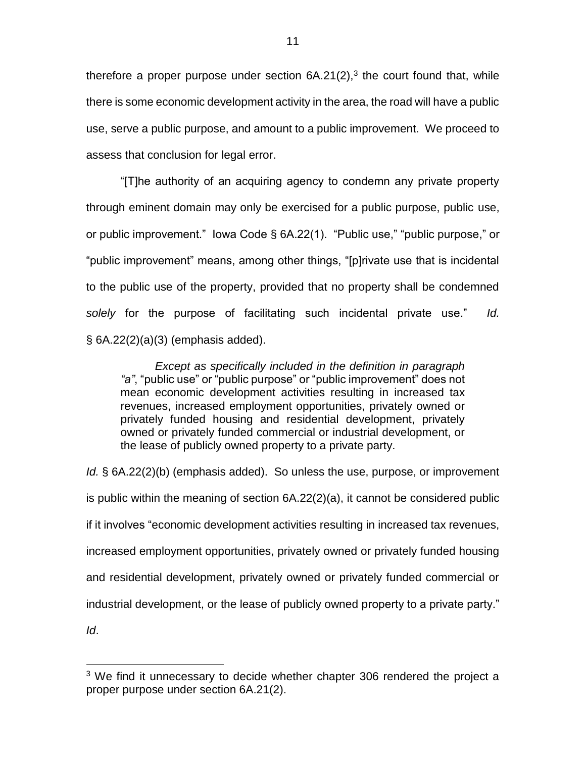therefore a proper purpose under section  $6A.21(2),<sup>3</sup>$  the court found that, while there is some economic development activity in the area, the road will have a public use, serve a public purpose, and amount to a public improvement. We proceed to assess that conclusion for legal error.

"[T]he authority of an acquiring agency to condemn any private property through eminent domain may only be exercised for a public purpose, public use, or public improvement." Iowa Code § 6A.22(1). "Public use," "public purpose," or "public improvement" means, among other things, "[p]rivate use that is incidental to the public use of the property, provided that no property shall be condemned *solely* for the purpose of facilitating such incidental private use." *Id.* § 6A.22(2)(a)(3) (emphasis added).

*Except as specifically included in the definition in paragraph "a"*, "public use" or "public purpose" or "public improvement" does not mean economic development activities resulting in increased tax revenues, increased employment opportunities, privately owned or privately funded housing and residential development, privately owned or privately funded commercial or industrial development, or the lease of publicly owned property to a private party.

*Id.* § 6A.22(2)(b) (emphasis added). So unless the use, purpose, or improvement is public within the meaning of section 6A.22(2)(a), it cannot be considered public if it involves "economic development activities resulting in increased tax revenues, increased employment opportunities, privately owned or privately funded housing and residential development, privately owned or privately funded commercial or industrial development, or the lease of publicly owned property to a private party." *Id*.

 $\overline{a}$ 

 $3$  We find it unnecessary to decide whether chapter 306 rendered the project a proper purpose under section 6A.21(2).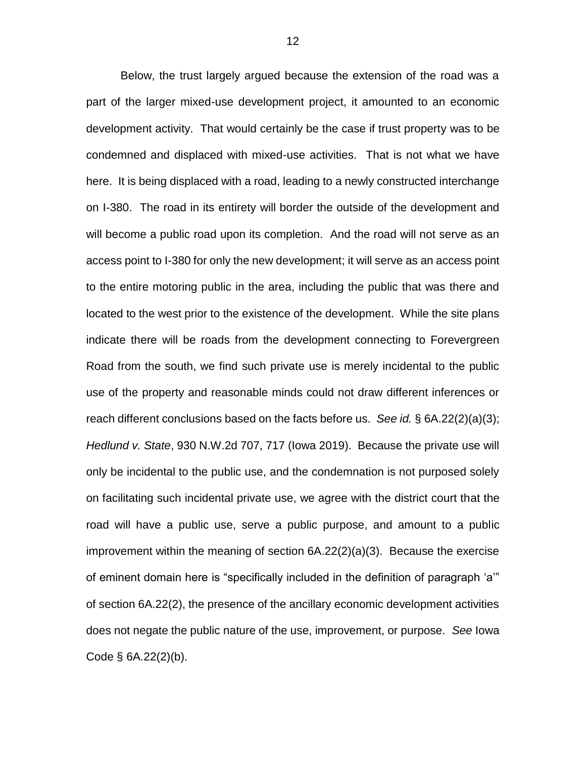Below, the trust largely argued because the extension of the road was a part of the larger mixed-use development project, it amounted to an economic development activity. That would certainly be the case if trust property was to be condemned and displaced with mixed-use activities. That is not what we have here. It is being displaced with a road, leading to a newly constructed interchange on I-380. The road in its entirety will border the outside of the development and will become a public road upon its completion. And the road will not serve as an access point to I-380 for only the new development; it will serve as an access point to the entire motoring public in the area, including the public that was there and located to the west prior to the existence of the development. While the site plans indicate there will be roads from the development connecting to Forevergreen Road from the south, we find such private use is merely incidental to the public use of the property and reasonable minds could not draw different inferences or reach different conclusions based on the facts before us. *See id.* § 6A.22(2)(a)(3); *Hedlund v. State*, 930 N.W.2d 707, 717 (Iowa 2019). Because the private use will only be incidental to the public use, and the condemnation is not purposed solely on facilitating such incidental private use, we agree with the district court that the road will have a public use, serve a public purpose, and amount to a public improvement within the meaning of section 6A.22(2)(a)(3). Because the exercise of eminent domain here is "specifically included in the definition of paragraph 'a'" of section 6A.22(2), the presence of the ancillary economic development activities does not negate the public nature of the use, improvement, or purpose. *See* Iowa Code  $\S$  6A.22(2)(b).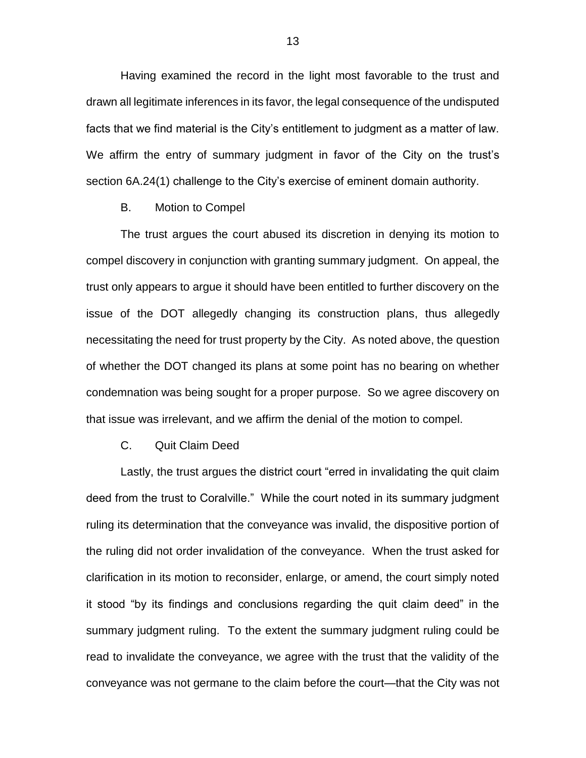Having examined the record in the light most favorable to the trust and drawn all legitimate inferences in its favor, the legal consequence of the undisputed facts that we find material is the City's entitlement to judgment as a matter of law. We affirm the entry of summary judgment in favor of the City on the trust's section 6A.24(1) challenge to the City's exercise of eminent domain authority.

#### B. Motion to Compel

The trust argues the court abused its discretion in denying its motion to compel discovery in conjunction with granting summary judgment. On appeal, the trust only appears to argue it should have been entitled to further discovery on the issue of the DOT allegedly changing its construction plans, thus allegedly necessitating the need for trust property by the City. As noted above, the question of whether the DOT changed its plans at some point has no bearing on whether condemnation was being sought for a proper purpose. So we agree discovery on that issue was irrelevant, and we affirm the denial of the motion to compel.

## C. Quit Claim Deed

Lastly, the trust argues the district court "erred in invalidating the quit claim deed from the trust to Coralville." While the court noted in its summary judgment ruling its determination that the conveyance was invalid, the dispositive portion of the ruling did not order invalidation of the conveyance. When the trust asked for clarification in its motion to reconsider, enlarge, or amend, the court simply noted it stood "by its findings and conclusions regarding the quit claim deed" in the summary judgment ruling. To the extent the summary judgment ruling could be read to invalidate the conveyance, we agree with the trust that the validity of the conveyance was not germane to the claim before the court—that the City was not